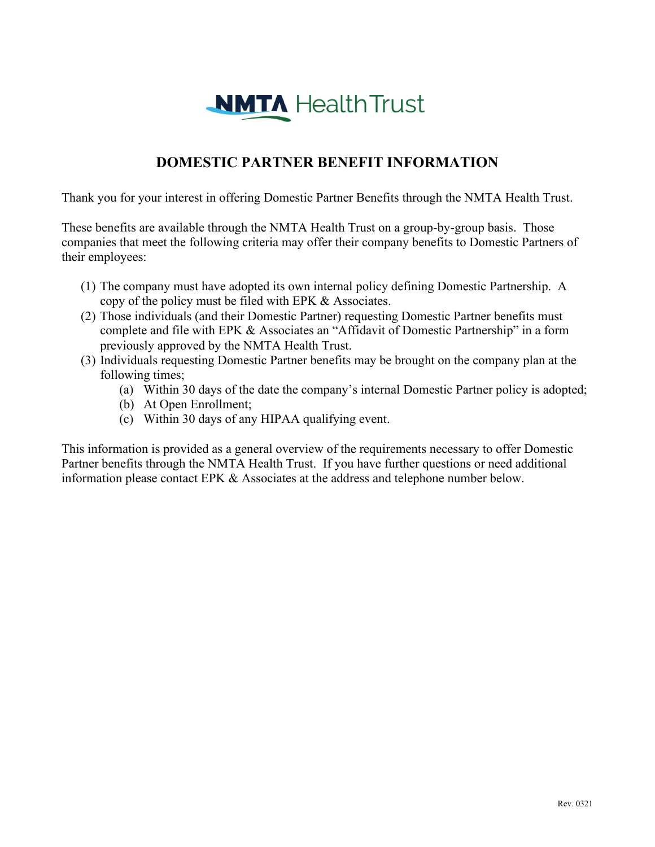# **NMTA** Health Trust

### **DOMESTIC PARTNER BENEFIT INFORMATION**

Thank you for your interest in offering Domestic Partner Benefits through the NMTA Health Trust.

These benefits are available through the NMTA Health Trust on a group-by-group basis. Those companies that meet the following criteria may offer their company benefits to Domestic Partners of their employees:

- (1) The company must have adopted its own internal policy defining Domestic Partnership. A copy of the policy must be filed with EPK & Associates.
- (2) Those individuals (and their Domestic Partner) requesting Domestic Partner benefits must complete and file with EPK & Associates an "Affidavit of Domestic Partnership" in a form previously approved by the NMTA Health Trust.
- (3) Individuals requesting Domestic Partner benefits may be brought on the company plan at the following times;
	- (a) Within 30 days of the date the company's internal Domestic Partner policy is adopted;
	- (b) At Open Enrollment;
	- (c) Within 30 days of any HIPAA qualifying event.

This information is provided as a general overview of the requirements necessary to offer Domestic Partner benefits through the NMTA Health Trust. If you have further questions or need additional information please contact EPK & Associates at the address and telephone number below.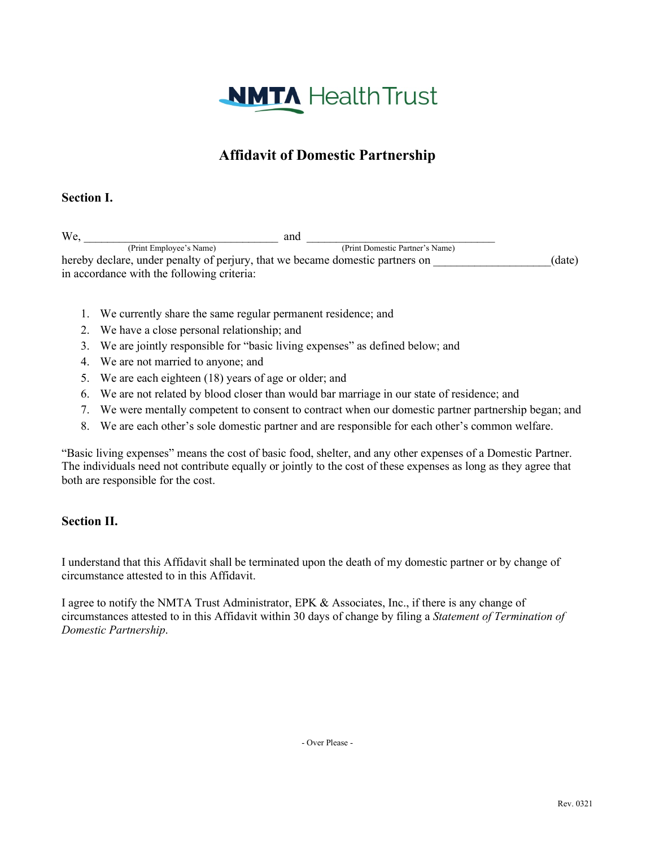

## **Affidavit of Domestic Partnership**

#### **Section I.**

 $\text{We,}$  (Print Employee's Name) (Print Domestic Partner's Name) hereby declare, under penalty of perjury, that we became domestic partners on  $(date)$ in accordance with the following criteria:

- 1. We currently share the same regular permanent residence; and
- 2. We have a close personal relationship; and
- 3. We are jointly responsible for "basic living expenses" as defined below; and
- 4. We are not married to anyone; and
- 5. We are each eighteen (18) years of age or older; and
- 6. We are not related by blood closer than would bar marriage in our state of residence; and
- 7. We were mentally competent to consent to contract when our domestic partner partnership began; and
- 8. We are each other's sole domestic partner and are responsible for each other's common welfare.

"Basic living expenses" means the cost of basic food, shelter, and any other expenses of a Domestic Partner. The individuals need not contribute equally or jointly to the cost of these expenses as long as they agree that both are responsible for the cost.

#### **Section II.**

I understand that this Affidavit shall be terminated upon the death of my domestic partner or by change of circumstance attested to in this Affidavit.

I agree to notify the NMTA Trust Administrator, EPK & Associates, Inc., if there is any change of circumstances attested to in this Affidavit within 30 days of change by filing a *Statement of Termination of Domestic Partnership*.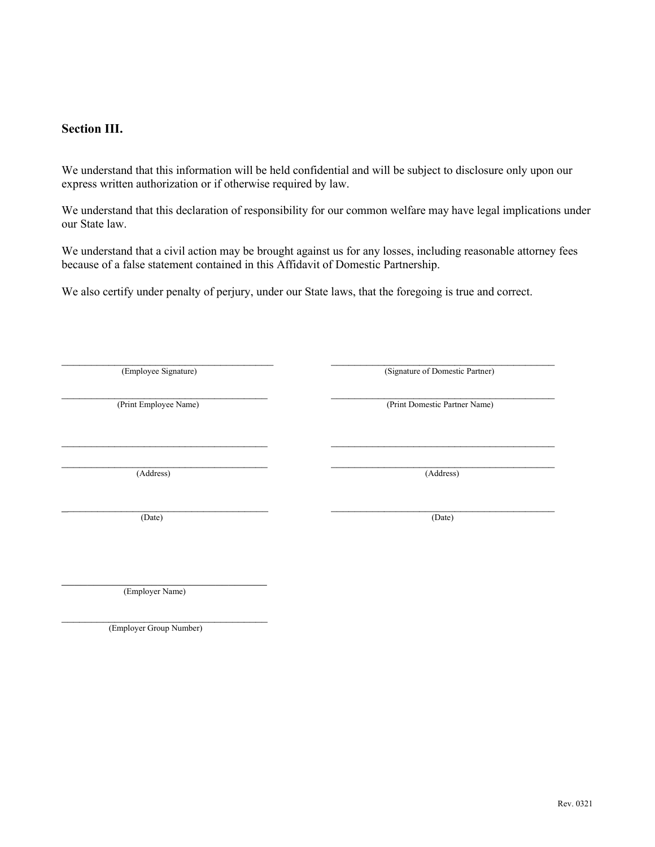#### **Section III.**

We understand that this information will be held confidential and will be subject to disclosure only upon our express written authorization or if otherwise required by law.

We understand that this declaration of responsibility for our common welfare may have legal implications under our State law.

We understand that a civil action may be brought against us for any losses, including reasonable attorney fees because of a false statement contained in this Affidavit of Domestic Partnership.

We also certify under penalty of perjury, under our State laws, that the foregoing is true and correct.

| (Employee Signature)  | (Signature of Domestic Partner) |
|-----------------------|---------------------------------|
|                       |                                 |
| (Print Employee Name) | (Print Domestic Partner Name)   |
|                       |                                 |
|                       |                                 |
|                       |                                 |
| (Address)             | (Address)                       |
|                       |                                 |
|                       |                                 |
| (Date)                | (Date)                          |
|                       |                                 |

 $\mathcal{L}_\text{max}$  , where  $\mathcal{L}_\text{max}$  , we have the set of the set of the set of the set of the set of the set of the set of the set of the set of the set of the set of the set of the set of the set of the set of the set of (Employer Name)

 $\mathcal{L}_\text{max}$  , where  $\mathcal{L}_\text{max}$  and  $\mathcal{L}_\text{max}$  and  $\mathcal{L}_\text{max}$ (Employer Group Number)